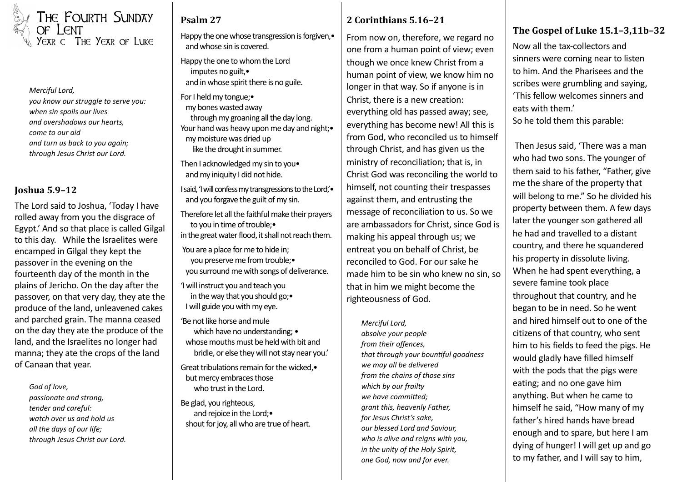

THE FOURTH SUNDAY<br>OF LENT<br>YEAR C. THE YEAR OF LUKE

**Merciful Lord.** *you know our struggle to serve you: when sin spoils our lives and overshadows our hearts, come* to our aid and turn us back to you again; *through Jesus Christ our Lord.* 

## **Joshua 5.9–12**

The Lord said to Joshua, 'Today I have rolled away from you the disgrace of Egypt.' And so that place is called Gilgal to this day. While the Israelites were encamped in Gilgal they kept the passover in the evening on the fourteenth day of the month in the plains of Jericho. On the day after the passover, on that very day, they ate the produce of the land, unleavened cakes and parched grain. The manna ceased on the day they ate the produce of the land, and the Israelites no longer had manna; they ate the crops of the land of Canaan that year.

God of love, *passionate and strong,*  tender and careful: *watch over us and hold us all the days of our life; through Jesus Christ our Lord.* 

## **Psalm 27**

Happy the one whose transgression is forgiven, $\bullet$ and whose sin is covered.

Happy the one to whom the Lord imputes no guilt,• and in whose spirit there is no guile.

For I held my tongue; my bones wasted away through my groaning all the day long. Your hand was heavy upon me day and night;•

my moisture was dried up like the drought in summer.

Then I acknowledged my sin to you $\bullet$ and my iniquity I did not hide.

I said, 'I will confess my transgressions to the Lord,' • and you forgave the guilt of my sin.

Therefore let all the faithful make their prayers to you in time of trouble; in the great water flood, it shall not reach them.

You are a place for me to hide in; you preserve me from trouble; you surround me with songs of deliverance.

'I will instruct you and teach you in the way that you should  $go$ ; I will guide you with my eye.

'Be not like horse and mule which have no understanding; • whose mouths must be held with bit and bridle, or else they will not stay near you.'

Great tribulations remain for the wicked.• but mercy embraces those who trust in the Lord.

Be glad, you righteous, and rejoice in the Lord;• shout for joy, all who are true of heart.

## **2 Corinthians 5.16–21**

From now on, therefore, we regard no one from a human point of view; even though we once knew Christ from a human point of view, we know him no longer in that way. So if anyone is in Christ, there is a new creation: everything old has passed away; see, everything has become new! All this is from God, who reconciled us to himself through Christ, and has given us the ministry of reconciliation; that is, in Christ God was reconciling the world to himself, not counting their trespasses against them, and entrusting the message of reconciliation to us. So we are ambassadors for Christ, since God is making his appeal through us; we entreat you on behalf of Christ, be reconciled to God. For our sake he made him to be sin who knew no sin, so that in him we might become the righteousness of God.

**Merciful Lord,** *absolve your people from their offences,*  that through your bountiful goodness we may all be delivered *from the chains of those sins* which by our frailty we have committed: *grant this, heavenly Father, for Jesus Christ's sake, our blessed Lord and Saviour,*  who is alive and reigns with you, *in the unity of the Holy Spirit, one God, now and for ever.* 

## The Gospel of Luke 15.1-3,11b-32

Now all the tax-collectors and sinners were coming near to listen to him. And the Pharisees and the scribes were grumbling and saying, 'This fellow welcomes sinners and eats with them.' So he told them this parable:

Then Jesus said, 'There was a man who had two sons. The younger of them said to his father, "Father, give me the share of the property that will belong to me." So he divided his property between them. A few days later the younger son gathered all he had and travelled to a distant country, and there he squandered his property in dissolute living. When he had spent everything, a severe famine took place throughout that country, and he began to be in need. So he went and hired himself out to one of the citizens of that country, who sent him to his fields to feed the pigs. He would gladly have filled himself with the pods that the pigs were eating; and no one gave him anything. But when he came to himself he said, "How many of my father's hired hands have bread enough and to spare, but here I am dying of hunger! I will get up and go to my father, and I will say to him,